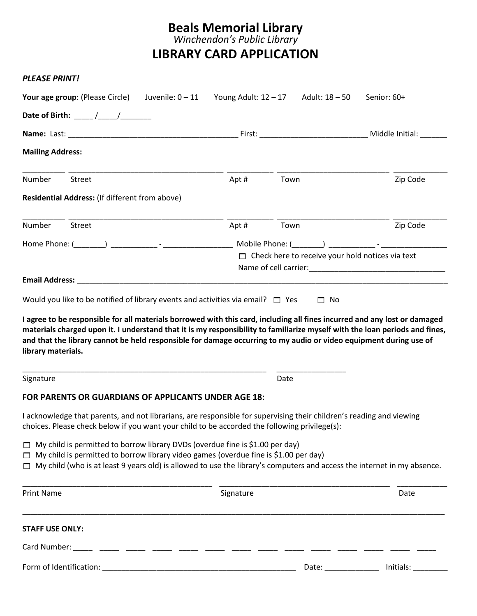## **Beals Memorial Library**

*Winchendon's Public Library*

**LIBRARY CARD APPLICATION**

| PLEASE PRINT!                                                                                                                                                                                                                                                                                                         |                                         |                                                         |
|-----------------------------------------------------------------------------------------------------------------------------------------------------------------------------------------------------------------------------------------------------------------------------------------------------------------------|-----------------------------------------|---------------------------------------------------------|
| <b>Your age group</b> : (Please Circle) Juvenile: 0 – 11                                                                                                                                                                                                                                                              | Young Adult: $12 - 17$ Adult: $18 - 50$ | Senior: 60+                                             |
| Date of Birth: ______ /_____/_________                                                                                                                                                                                                                                                                                |                                         |                                                         |
|                                                                                                                                                                                                                                                                                                                       |                                         |                                                         |
| <b>Mailing Address:</b>                                                                                                                                                                                                                                                                                               |                                         |                                                         |
| Number<br>Street                                                                                                                                                                                                                                                                                                      | Apt#<br>Town                            | Zip Code                                                |
| Residential Address: (If different from above)                                                                                                                                                                                                                                                                        |                                         |                                                         |
| Number<br>Street                                                                                                                                                                                                                                                                                                      | Apt#<br>Town                            | Zip Code                                                |
|                                                                                                                                                                                                                                                                                                                       |                                         |                                                         |
|                                                                                                                                                                                                                                                                                                                       |                                         | $\Box$ Check here to receive your hold notices via text |
|                                                                                                                                                                                                                                                                                                                       |                                         |                                                         |
| materials charged upon it. I understand that it is my responsibility to familiarize myself with the loan periods and fines,<br>and that the library cannot be held responsible for damage occurring to my audio or video equipment during use of<br>library materials.                                                |                                         |                                                         |
| Signature                                                                                                                                                                                                                                                                                                             | Date                                    |                                                         |
| FOR PARENTS OR GUARDIANS OF APPLICANTS UNDER AGE 18:                                                                                                                                                                                                                                                                  |                                         |                                                         |
| I acknowledge that parents, and not librarians, are responsible for supervising their children's reading and viewing<br>choices. Please check below if you want your child to be accorded the following privilege(s):                                                                                                 |                                         |                                                         |
| $\Box$ My child is permitted to borrow library DVDs (overdue fine is \$1.00 per day)<br>$\Box$ My child is permitted to borrow library video games (overdue fine is \$1.00 per day)<br>$\Box$ My child (who is at least 9 years old) is allowed to use the library's computers and access the internet in my absence. |                                         |                                                         |
| <b>Print Name</b>                                                                                                                                                                                                                                                                                                     | Signature                               | Date                                                    |
| <b>STAFF USE ONLY:</b>                                                                                                                                                                                                                                                                                                |                                         |                                                         |
|                                                                                                                                                                                                                                                                                                                       |                                         |                                                         |
|                                                                                                                                                                                                                                                                                                                       |                                         | Initials:<br>Date: ______________                       |